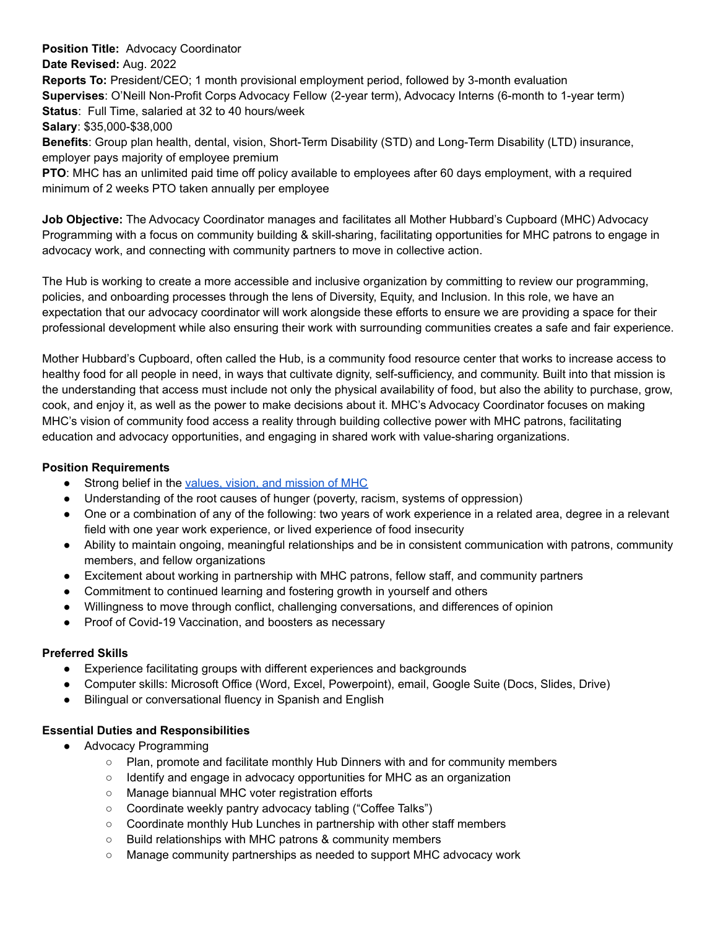**Position Title:** Advocacy Coordinator **Date Revised:** Aug. 2022 **Reports To:** President/CEO; 1 month provisional employment period, followed by 3-month evaluation **Supervises**: O'Neill Non-Profit Corps Advocacy Fellow (2-year term), Advocacy Interns (6-month to 1-year term) **Status**: Full Time, salaried at 32 to 40 hours/week **Salary**: \$35,000-\$38,000

**Benefits**: Group plan health, dental, vision, Short-Term Disability (STD) and Long-Term Disability (LTD) insurance, employer pays majority of employee premium

**PTO**: MHC has an unlimited paid time off policy available to employees after 60 days employment, with a required minimum of 2 weeks PTO taken annually per employee

**Job Objective:** The Advocacy Coordinator manages and facilitates all Mother Hubbard's Cupboard (MHC) Advocacy Programming with a focus on community building & skill-sharing, facilitating opportunities for MHC patrons to engage in advocacy work, and connecting with community partners to move in collective action.

The Hub is working to create a more accessible and inclusive organization by committing to review our programming, policies, and onboarding processes through the lens of Diversity, Equity, and Inclusion. In this role, we have an expectation that our advocacy coordinator will work alongside these efforts to ensure we are providing a space for their professional development while also ensuring their work with surrounding communities creates a safe and fair experience.

Mother Hubbard's Cupboard, often called the Hub, is a community food resource center that works to increase access to healthy food for all people in need, in ways that cultivate dignity, self-sufficiency, and community. Built into that mission is the understanding that access must include not only the physical availability of food, but also the ability to purchase, grow, cook, and enjoy it, as well as the power to make decisions about it. MHC's Advocacy Coordinator focuses on making MHC's vision of community food access a reality through building collective power with MHC patrons, facilitating education and advocacy opportunities, and engaging in shared work with value-sharing organizations.

## **Position Requirements**

- Strong belief in the values, vision, and [mission](http://mhcfoodpantry.org) of MHC
- Understanding of the root causes of hunger (poverty, racism, systems of oppression)
- One or a combination of any of the following: two years of work experience in a related area, degree in a relevant field with one year work experience, or lived experience of food insecurity
- Ability to maintain ongoing, meaningful relationships and be in consistent communication with patrons, community members, and fellow organizations
- Excitement about working in partnership with MHC patrons, fellow staff, and community partners
- Commitment to continued learning and fostering growth in yourself and others
- Willingness to move through conflict, challenging conversations, and differences of opinion
- Proof of Covid-19 Vaccination, and boosters as necessary

## **Preferred Skills**

- Experience facilitating groups with different experiences and backgrounds
- Computer skills: Microsoft Office (Word, Excel, Powerpoint), email, Google Suite (Docs, Slides, Drive)
- Bilingual or conversational fluency in Spanish and English

## **Essential Duties and Responsibilities**

- Advocacy Programming
	- Plan, promote and facilitate monthly Hub Dinners with and for community members
	- $\circ$  Identify and engage in advocacy opportunities for MHC as an organization
	- Manage biannual MHC voter registration efforts
	- Coordinate weekly pantry advocacy tabling ("Coffee Talks")
	- Coordinate monthly Hub Lunches in partnership with other staff members
	- Build relationships with MHC patrons & community members
	- Manage community partnerships as needed to support MHC advocacy work